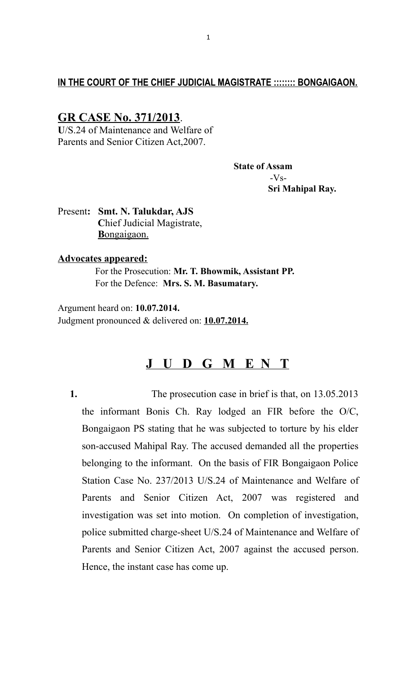## **IN THE COURT OF THE CHIEF JUDICIAL MAGISTRATE :::::::: BONGAIGAON.**

# **GR CASE No. 371/2013**.

**U**/S.24 of Maintenance and Welfare of Parents and Senior Citizen Act,2007.

> **State of Assam**  $-Vs-$  **Sri Mahipal Ray.**

Present**: Smt. N. Talukdar, AJS C**hief Judicial Magistrate,  **B** ongaigaon.

#### **Advocates appeared:**

 For the Prosecution: **Mr. T. Bhowmik, Assistant PP.** For the Defence: **Mrs. S. M. Basumatary.**

Argument heard on: **10.07.2014.** Judgment pronounced & delivered on: **10.07.2014.**

# **J U D G M E N T**

**1.** The prosecution case in brief is that, on 13.05.2013 the informant Bonis Ch. Ray lodged an FIR before the O/C, Bongaigaon PS stating that he was subjected to torture by his elder son-accused Mahipal Ray. The accused demanded all the properties belonging to the informant. On the basis of FIR Bongaigaon Police Station Case No. 237/2013 U/S.24 of Maintenance and Welfare of Parents and Senior Citizen Act, 2007 was registered and investigation was set into motion. On completion of investigation, police submitted charge-sheet U/S.24 of Maintenance and Welfare of Parents and Senior Citizen Act, 2007 against the accused person. Hence, the instant case has come up.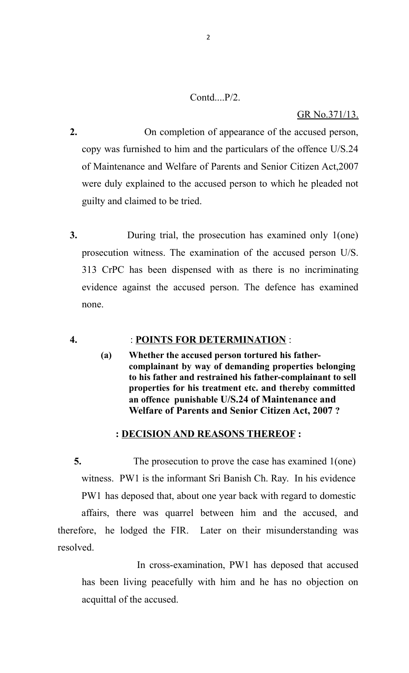### Contd....P/2.

#### GR No.371/13.

- **2.** On completion of appearance of the accused person, copy was furnished to him and the particulars of the offence U/S.24 of Maintenance and Welfare of Parents and Senior Citizen Act,2007 were duly explained to the accused person to which he pleaded not guilty and claimed to be tried.
- **3.** During trial, the prosecution has examined only 1(one) prosecution witness. The examination of the accused person U/S. 313 CrPC has been dispensed with as there is no incriminating evidence against the accused person. The defence has examined none.

#### **4.** : **POINTS FOR DETERMINATION** :

**(a) Whether the accused person tortured his fathercomplainant by way of demanding properties belonging to his father and restrained his father-complainant to sell properties for his treatment etc. and thereby committed an offence punishable U/S.24 of Maintenance and Welfare of Parents and Senior Citizen Act, 2007 ?**

### **: DECISION AND REASONS THEREOF :**

 **5.** The prosecution to prove the case has examined 1(one) witness. PW1 is the informant Sri Banish Ch. Ray. In his evidence PW1 has deposed that, about one year back with regard to domestic

affairs, there was quarrel between him and the accused, and therefore, he lodged the FIR. Later on their misunderstanding was resolved.

 In cross-examination, PW1 has deposed that accused has been living peacefully with him and he has no objection on acquittal of the accused.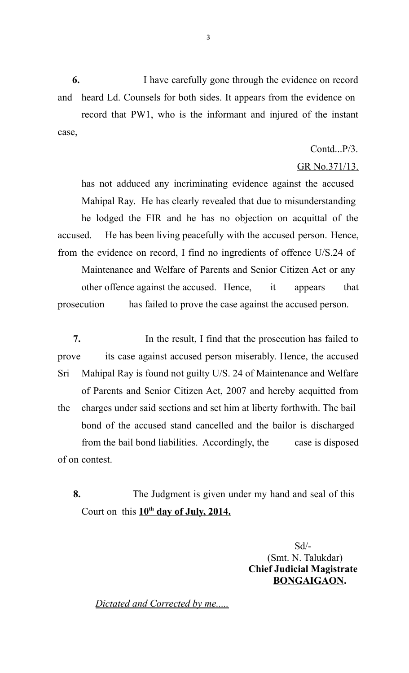**6.** I have carefully gone through the evidence on record and heard Ld. Counsels for both sides. It appears from the evidence on record that PW1, who is the informant and injured of the instant case,

Contd...P/3.

#### GR No.371/13.

has not adduced any incriminating evidence against the accused Mahipal Ray. He has clearly revealed that due to misunderstanding he lodged the FIR and he has no objection on acquittal of the accused. He has been living peacefully with the accused person. Hence, from the evidence on record, I find no ingredients of offence U/S.24 of Maintenance and Welfare of Parents and Senior Citizen Act or any other offence against the accused. Hence, it appears that prosecution has failed to prove the case against the accused person.

 **7.** In the result, I find that the prosecution has failed to prove its case against accused person miserably. Hence, the accused Sri Mahipal Ray is found not guilty U/S. 24 of Maintenance and Welfare of Parents and Senior Citizen Act, 2007 and hereby acquitted from the charges under said sections and set him at liberty forthwith. The bail bond of the accused stand cancelled and the bailor is discharged from the bail bond liabilities. Accordingly, the case is disposed of on contest.

 **8.** The Judgment is given under my hand and seal of this Court on this  $10^{th}$  day of July, 2014.

> Sd/- (Smt. N. Talukdar)  **Chief Judicial Magistrate BONGAIGAON.**

*Dictated and Corrected by me.....*